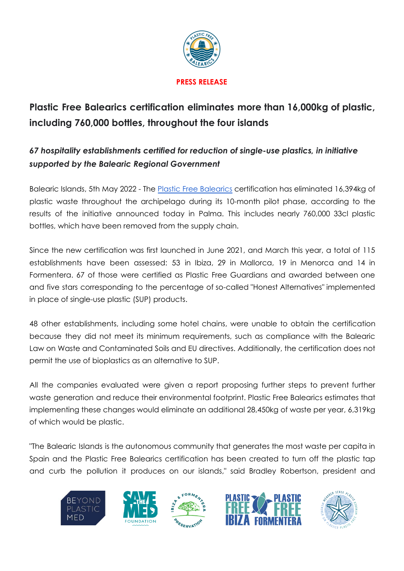

# **Plastic Free Balearics certification eliminates more than 16,000kg of plastic, including 760,000 bottles, throughout the four islands**

# *67 hospitality establishments certified for reduction of single-use plastics, in initiative supported by the Balearic Regional Government*

Balearic Islands, 5th May 2022 - The Plastic Free [Balearics](https://en.plasticfreebalearics.org/) certification has eliminated 16,394kg of plastic waste throughout the archipelago during its 10-month pilot phase, according to the results of the initiative announced today in Palma. This includes nearly 760,000 33cl plastic bottles, which have been removed from the supply chain.

Since the new certification was first launched in June 2021, and March this year, a total of 115 establishments have been assessed: 53 in Ibiza, 29 in Mallorca, 19 in Menorca and 14 in Formentera. 67 of those were certified as Plastic Free Guardians and awarded between one and five stars corresponding to the percentage of so-called "Honest Alternatives" implemented in place of single-use plastic (SUP) products.

48 other establishments, including some hotel chains, were unable to obtain the certification because they did not meet its minimum requirements, such as compliance with the Balearic Law on Waste and Contaminated Soils and EU directives. Additionally, the certification does not permit the use of bioplastics as an alternative to SUP.

All the companies evaluated were given a report proposing further steps to prevent further waste generation and reduce their environmental footprint. Plastic Free Balearics estimates that implementing these changes would eliminate an additional 28,450kg of waste per year, 6,319kg of which would be plastic.

"The Balearic Islands is the autonomous community that generates the most waste per capita in Spain and the Plastic Free Balearics certification has been created to turn off the plastic tap and curb the pollution it produces on our islands," said Bradley Robertson, president and



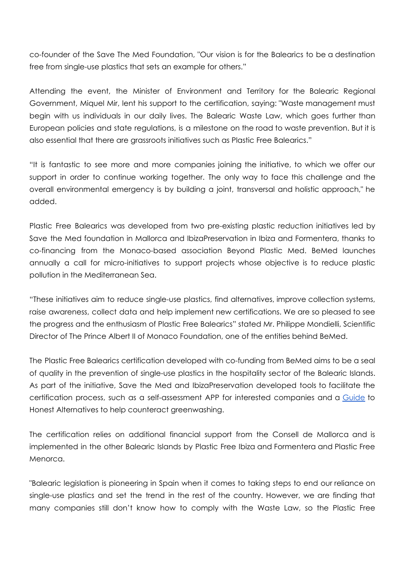co-founder of the Save The Med Foundation, "Our vision is for the Balearics to be a destination free from single-use plastics that sets an example for others."

Attending the event, the Minister of Environment and Territory for the Balearic Regional Government, Miquel Mir, lent his support to the certification, saying: "Waste management must begin with us individuals in our daily lives. The Balearic Waste Law, which goes further than European policies and state regulations, is a milestone on the road to waste prevention. But it is also essential that there are grassroots initiatives such as Plastic Free Balearics."

"It is fantastic to see more and more companies joining the initiative, to which we offer our support in order to continue working together. The only way to face this challenge and the overall environmental emergency is by building a joint, transversal and holistic approach," he added.

Plastic Free Balearics was developed from two pre-existing plastic reduction initiatives led by Save the Med foundation in Mallorca and IbizaPreservation in Ibiza and Formentera, thanks to co-financing from the Monaco-based association Beyond Plastic Med. BeMed launches annually a call for micro-initiatives to support projects whose objective is to reduce plastic pollution in the Mediterranean Sea.

"These initiatives aim to reduce single-use plastics, find alternatives, improve collection systems, raise awareness, collect data and help implement new certifications. We are so pleased to see the progress and the enthusiasm of Plastic Free Balearics" stated Mr. Philippe Mondielli, Scientific Director of The Prince Albert II of Monaco Foundation, one of the entities behind BeMed.

The Plastic Free Balearics certification developed with co-funding from BeMed aims to be a seal of quality in the prevention of single-use plastics in the hospitality sector of the Balearic Islands. As part of the initiative, Save the Med and IbizaPreservation developed tools to facilitate the certification process, such as a self-assessment APP for interested companies and a [Guide](https://en.plasticfreebalearics.org/about-6) to Honest Alternatives to help counteract greenwashing.

The certification relies on additional financial support from the Consell de Mallorca and is implemented in the other Balearic Islands by Plastic Free Ibiza and Formentera and Plastic Free Menorca.

"Balearic legislation is pioneering in Spain when it comes to taking steps to end our reliance on single-use plastics and set the trend in the rest of the country. However, we are finding that many companies still don't know how to comply with the Waste Law, so the Plastic Free